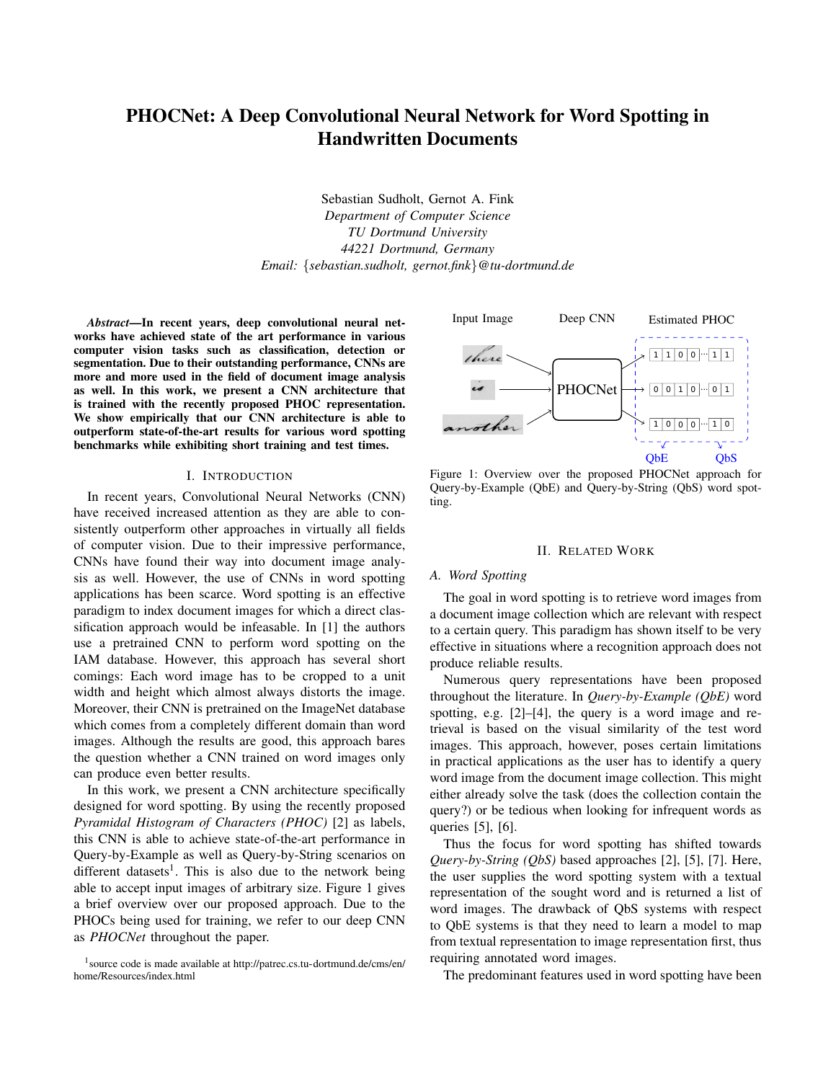# PHOCNet: A Deep Convolutional Neural Network for Word Spotting in Handwritten Documents

Sebastian Sudholt, Gernot A. Fink *Department of Computer Science TU Dortmund University 44221 Dortmund, Germany Email:* {*sebastian.sudholt, gernot.fink*}*@tu-dortmund.de*

*Abstract*—In recent years, deep convolutional neural networks have achieved state of the art performance in various computer vision tasks such as classification, detection or segmentation. Due to their outstanding performance, CNNs are more and more used in the field of document image analysis as well. In this work, we present a CNN architecture that is trained with the recently proposed PHOC representation. We show empirically that our CNN architecture is able to outperform state-of-the-art results for various word spotting benchmarks while exhibiting short training and test times.

## I. INTRODUCTION

In recent years, Convolutional Neural Networks (CNN) have received increased attention as they are able to consistently outperform other approaches in virtually all fields of computer vision. Due to their impressive performance, CNNs have found their way into document image analysis as well. However, the use of CNNs in word spotting applications has been scarce. Word spotting is an effective paradigm to index document images for which a direct classification approach would be infeasable. In [1] the authors use a pretrained CNN to perform word spotting on the IAM database. However, this approach has several short comings: Each word image has to be cropped to a unit width and height which almost always distorts the image. Moreover, their CNN is pretrained on the ImageNet database which comes from a completely different domain than word images. Although the results are good, this approach bares the question whether a CNN trained on word images only can produce even better results.

In this work, we present a CNN architecture specifically designed for word spotting. By using the recently proposed *Pyramidal Histogram of Characters (PHOC)* [2] as labels, this CNN is able to achieve state-of-the-art performance in Query-by-Example as well as Query-by-String scenarios on different datasets<sup>1</sup>. This is also due to the network being able to accept input images of arbitrary size. Figure 1 gives a brief overview over our proposed approach. Due to the PHOCs being used for training, we refer to our deep CNN as *PHOCNet* throughout the paper.



Figure 1: Overview over the proposed PHOCNet approach for Query-by-Example (QbE) and Query-by-String (QbS) word spotting.

#### II. RELATED WORK

#### *A. Word Spotting*

The goal in word spotting is to retrieve word images from a document image collection which are relevant with respect to a certain query. This paradigm has shown itself to be very effective in situations where a recognition approach does not produce reliable results.

Numerous query representations have been proposed throughout the literature. In *Query-by-Example (QbE)* word spotting, e.g. [2]–[4], the query is a word image and retrieval is based on the visual similarity of the test word images. This approach, however, poses certain limitations in practical applications as the user has to identify a query word image from the document image collection. This might either already solve the task (does the collection contain the query?) or be tedious when looking for infrequent words as queries [5], [6].

Thus the focus for word spotting has shifted towards *Query-by-String (QbS)* based approaches [2], [5], [7]. Here, the user supplies the word spotting system with a textual representation of the sought word and is returned a list of word images. The drawback of QbS systems with respect to QbE systems is that they need to learn a model to map from textual representation to image representation first, thus requiring annotated word images.

The predominant features used in word spotting have been

<sup>&</sup>lt;sup>1</sup> source code is made available at http://patrec.cs.tu-dortmund.de/cms/en/ home/Resources/index.html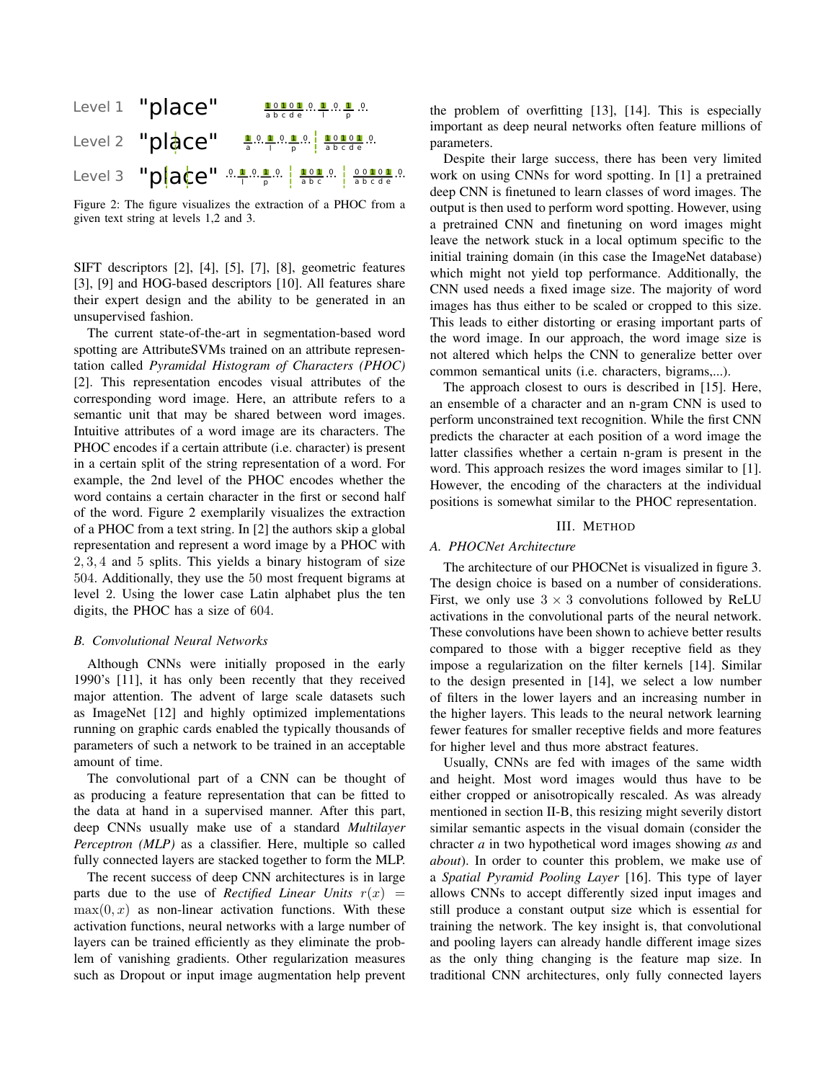

Figure 2: The figure visualizes the extraction of a PHOC from a given text string at levels 1,2 and 3.

SIFT descriptors [2], [4], [5], [7], [8], geometric features [3], [9] and HOG-based descriptors [10]. All features share their expert design and the ability to be generated in an unsupervised fashion.

The current state-of-the-art in segmentation-based word spotting are AttributeSVMs trained on an attribute representation called *Pyramidal Histogram of Characters (PHOC)* [2]. This representation encodes visual attributes of the corresponding word image. Here, an attribute refers to a semantic unit that may be shared between word images. Intuitive attributes of a word image are its characters. The PHOC encodes if a certain attribute (i.e. character) is present in a certain split of the string representation of a word. For example, the 2nd level of the PHOC encodes whether the word contains a certain character in the first or second half of the word. Figure 2 exemplarily visualizes the extraction of a PHOC from a text string. In [2] the authors skip a global representation and represent a word image by a PHOC with 2, 3, 4 and 5 splits. This yields a binary histogram of size 504. Additionally, they use the 50 most frequent bigrams at level 2. Using the lower case Latin alphabet plus the ten digits, the PHOC has a size of 604.

## *B. Convolutional Neural Networks*

Although CNNs were initially proposed in the early 1990's [11], it has only been recently that they received major attention. The advent of large scale datasets such as ImageNet [12] and highly optimized implementations running on graphic cards enabled the typically thousands of parameters of such a network to be trained in an acceptable amount of time.

The convolutional part of a CNN can be thought of as producing a feature representation that can be fitted to the data at hand in a supervised manner. After this part, deep CNNs usually make use of a standard *Multilayer Perceptron (MLP)* as a classifier. Here, multiple so called fully connected layers are stacked together to form the MLP.

The recent success of deep CNN architectures is in large parts due to the use of *Rectified Linear Units*  $r(x)$  =  $max(0, x)$  as non-linear activation functions. With these activation functions, neural networks with a large number of layers can be trained efficiently as they eliminate the problem of vanishing gradients. Other regularization measures such as Dropout or input image augmentation help prevent the problem of overfitting [13], [14]. This is especially important as deep neural networks often feature millions of parameters.

Despite their large success, there has been very limited work on using CNNs for word spotting. In [1] a pretrained deep CNN is finetuned to learn classes of word images. The output is then used to perform word spotting. However, using a pretrained CNN and finetuning on word images might leave the network stuck in a local optimum specific to the initial training domain (in this case the ImageNet database) which might not yield top performance. Additionally, the CNN used needs a fixed image size. The majority of word images has thus either to be scaled or cropped to this size. This leads to either distorting or erasing important parts of the word image. In our approach, the word image size is not altered which helps the CNN to generalize better over common semantical units (i.e. characters, bigrams,...).

The approach closest to ours is described in [15]. Here, an ensemble of a character and an n-gram CNN is used to perform unconstrained text recognition. While the first CNN predicts the character at each position of a word image the latter classifies whether a certain n-gram is present in the word. This approach resizes the word images similar to [1]. However, the encoding of the characters at the individual positions is somewhat similar to the PHOC representation.

## III. METHOD

## *A. PHOCNet Architecture*

The architecture of our PHOCNet is visualized in figure 3. The design choice is based on a number of considerations. First, we only use  $3 \times 3$  convolutions followed by ReLU activations in the convolutional parts of the neural network. These convolutions have been shown to achieve better results compared to those with a bigger receptive field as they impose a regularization on the filter kernels [14]. Similar to the design presented in [14], we select a low number of filters in the lower layers and an increasing number in the higher layers. This leads to the neural network learning fewer features for smaller receptive fields and more features for higher level and thus more abstract features.

Usually, CNNs are fed with images of the same width and height. Most word images would thus have to be either cropped or anisotropically rescaled. As was already mentioned in section II-B, this resizing might severily distort similar semantic aspects in the visual domain (consider the chracter *a* in two hypothetical word images showing *as* and *about*). In order to counter this problem, we make use of a *Spatial Pyramid Pooling Layer* [16]. This type of layer allows CNNs to accept differently sized input images and still produce a constant output size which is essential for training the network. The key insight is, that convolutional and pooling layers can already handle different image sizes as the only thing changing is the feature map size. In traditional CNN architectures, only fully connected layers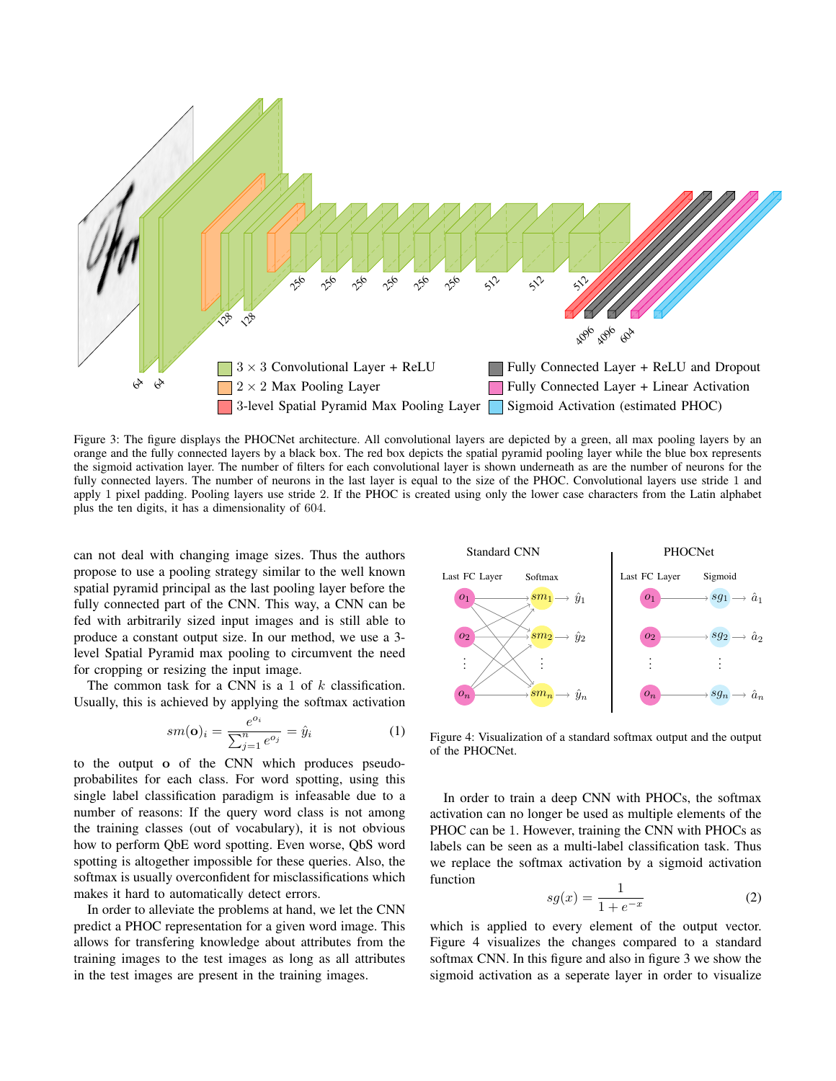

Figure 3: The figure displays the PHOCNet architecture. All convolutional layers are depicted by a green, all max pooling layers by an orange and the fully connected layers by a black box. The red box depicts the spatial pyramid pooling layer while the blue box represents the sigmoid activation layer. The number of filters for each convolutional layer is shown underneath as are the number of neurons for the fully connected layers. The number of neurons in the last layer is equal to the size of the PHOC. Convolutional layers use stride 1 and apply 1 pixel padding. Pooling layers use stride 2. If the PHOC is created using only the lower case characters from the Latin alphabet plus the ten digits, it has a dimensionality of 604.

can not deal with changing image sizes. Thus the authors propose to use a pooling strategy similar to the well known spatial pyramid principal as the last pooling layer before the fully connected part of the CNN. This way, a CNN can be fed with arbitrarily sized input images and is still able to produce a constant output size. In our method, we use a 3 level Spatial Pyramid max pooling to circumvent the need for cropping or resizing the input image.

The common task for a CNN is a 1 of  $k$  classification. Usually, this is achieved by applying the softmax activation

$$
sm(\mathbf{o})_i = \frac{e^{o_i}}{\sum_{j=1}^n e^{o_j}} = \hat{y}_i
$$
 (1)

to the output o of the CNN which produces pseudoprobabilites for each class. For word spotting, using this single label classification paradigm is infeasable due to a number of reasons: If the query word class is not among the training classes (out of vocabulary), it is not obvious how to perform QbE word spotting. Even worse, QbS word spotting is altogether impossible for these queries. Also, the softmax is usually overconfident for misclassifications which makes it hard to automatically detect errors.

In order to alleviate the problems at hand, we let the CNN predict a PHOC representation for a given word image. This allows for transfering knowledge about attributes from the training images to the test images as long as all attributes in the test images are present in the training images.



Figure 4: Visualization of a standard softmax output and the output of the PHOCNet.

In order to train a deep CNN with PHOCs, the softmax activation can no longer be used as multiple elements of the PHOC can be 1. However, training the CNN with PHOCs as labels can be seen as a multi-label classification task. Thus we replace the softmax activation by a sigmoid activation function

$$
sg(x) = \frac{1}{1 + e^{-x}}\tag{2}
$$

which is applied to every element of the output vector. Figure 4 visualizes the changes compared to a standard softmax CNN. In this figure and also in figure 3 we show the sigmoid activation as a seperate layer in order to visualize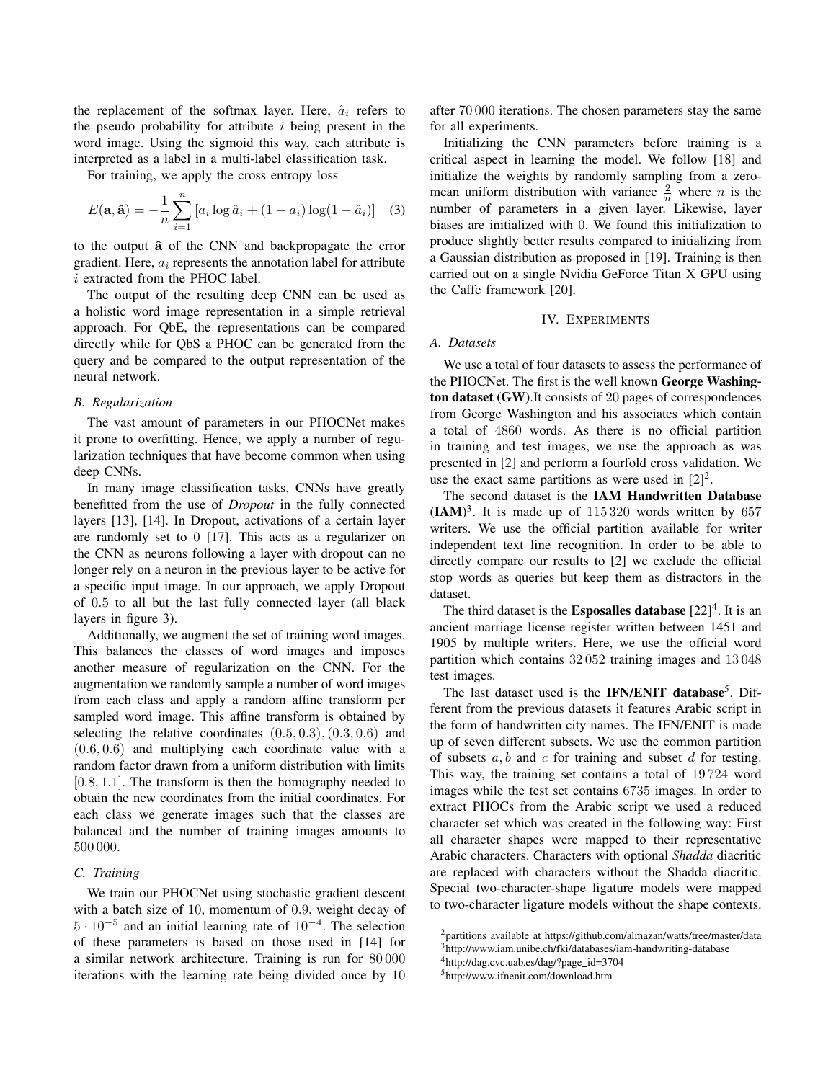the replacement of the softmax layer. Here,  $\hat{a}_i$  refers to the pseudo probability for attribute  $i$  being present in the word image. Using the sigmoid this way, each attribute is interpreted as a label in a multi-label classification task.

For training, we apply the cross entropy loss

$$
E(\mathbf{a}, \mathbf{\hat{a}}) = -\frac{1}{n} \sum_{i=1}^{n} \left[ a_i \log \hat{a}_i + (1 - a_i) \log(1 - \hat{a}_i) \right] \quad (3)
$$

to the output  $\hat{a}$  of the CNN and backpropagate the error gradient. Here,  $a_i$  represents the annotation label for attribute i extracted from the PHOC label.

The output of the resulting deep CNN can be used as a holistic word image representation in a simple retrieval approach. For QbE, the representations can be compared directly while for QbS a PHOC can be generated from the query and be compared to the output representation of the neural network.

#### *B. Regularization*

The vast amount of parameters in our PHOCNet makes it prone to overfitting. Hence, we apply a number of regularization techniques that have become common when using deep CNNs.

In many image classification tasks, CNNs have greatly benefitted from the use of *Dropout* in the fully connected layers [13], [14]. In Dropout, activations of a certain layer are randomly set to 0 [17]. This acts as a regularizer on the CNN as neurons following a layer with dropout can no longer rely on a neuron in the previous layer to be active for a specific input image. In our approach, we apply Dropout of 0.5 to all but the last fully connected layer (all black layers in figure 3).

Additionally, we augment the set of training word images. This balances the classes of word images and imposes another measure of regularization on the CNN. For the augmentation we randomly sample a number of word images from each class and apply a random affine transform per sampled word image. This affine transform is obtained by selecting the relative coordinates  $(0.5, 0.3), (0.3, 0.6)$  and (0.6, 0.6) and multiplying each coordinate value with a random factor drawn from a uniform distribution with limits [0.8, 1.1]. The transform is then the homography needed to obtain the new coordinates from the initial coordinates. For each class we generate images such that the classes are balanced and the number of training images amounts to 500 000.

## *C. Training*

We train our PHOCNet using stochastic gradient descent with a batch size of 10, momentum of 0.9, weight decay of  $5 \cdot 10^{-5}$  and an initial learning rate of  $10^{-4}$ . The selection of these parameters is based on those used in [14] for a similar network architecture. Training is run for 80 000 iterations with the learning rate being divided once by 10 after 70 000 iterations. The chosen parameters stay the same for all experiments.

Initializing the CNN parameters before training is a critical aspect in learning the model. We follow [18] and initialize the weights by randomly sampling from a zeromean uniform distribution with variance  $\frac{2}{n}$  where *n* is the number of parameters in a given layer. Likewise, layer biases are initialized with 0. We found this initialization to produce slightly better results compared to initializing from a Gaussian distribution as proposed in [19]. Training is then carried out on a single Nvidia GeForce Titan X GPU using the Caffe framework [20].

### IV. EXPERIMENTS

## *A. Datasets*

We use a total of four datasets to assess the performance of the PHOCNet. The first is the well known George Washington dataset (GW).It consists of 20 pages of correspondences from George Washington and his associates which contain a total of 4860 words. As there is no official partition in training and test images, we use the approach as was presented in [2] and perform a fourfold cross validation. We use the exact same partitions as were used in  $[2]^2$ .

The second dataset is the IAM Handwritten Database  $(IAM)<sup>3</sup>$ . It is made up of 115 320 words written by 657 writers. We use the official partition available for writer independent text line recognition. In order to be able to directly compare our results to [2] we exclude the official stop words as queries but keep them as distractors in the dataset.

The third dataset is the **Esposalles database**  $[22]^4$ . It is an ancient marriage license register written between 1451 and 1905 by multiple writers. Here, we use the official word partition which contains 32 052 training images and 13 048 test images.

The last dataset used is the IFN/ENIT database<sup>5</sup>. Different from the previous datasets it features Arabic script in the form of handwritten city names. The IFN/ENIT is made up of seven different subsets. We use the common partition of subsets  $a, b$  and  $c$  for training and subset  $d$  for testing. This way, the training set contains a total of 19 724 word images while the test set contains 6735 images. In order to extract PHOCs from the Arabic script we used a reduced character set which was created in the following way: First all character shapes were mapped to their representative Arabic characters. Characters with optional *Shadda* diacritic are replaced with characters without the Shadda diacritic. Special two-character-shape ligature models were mapped to two-character ligature models without the shape contexts.

<sup>5</sup>http://www.ifnenit.com/download.htm

<sup>2</sup>partitions available at https://github.com/almazan/watts/tree/master/data <sup>3</sup>http://www.iam.unibe.ch/fki/databases/iam-handwriting-database

<sup>4</sup>http://dag.cvc.uab.es/dag/?page id=3704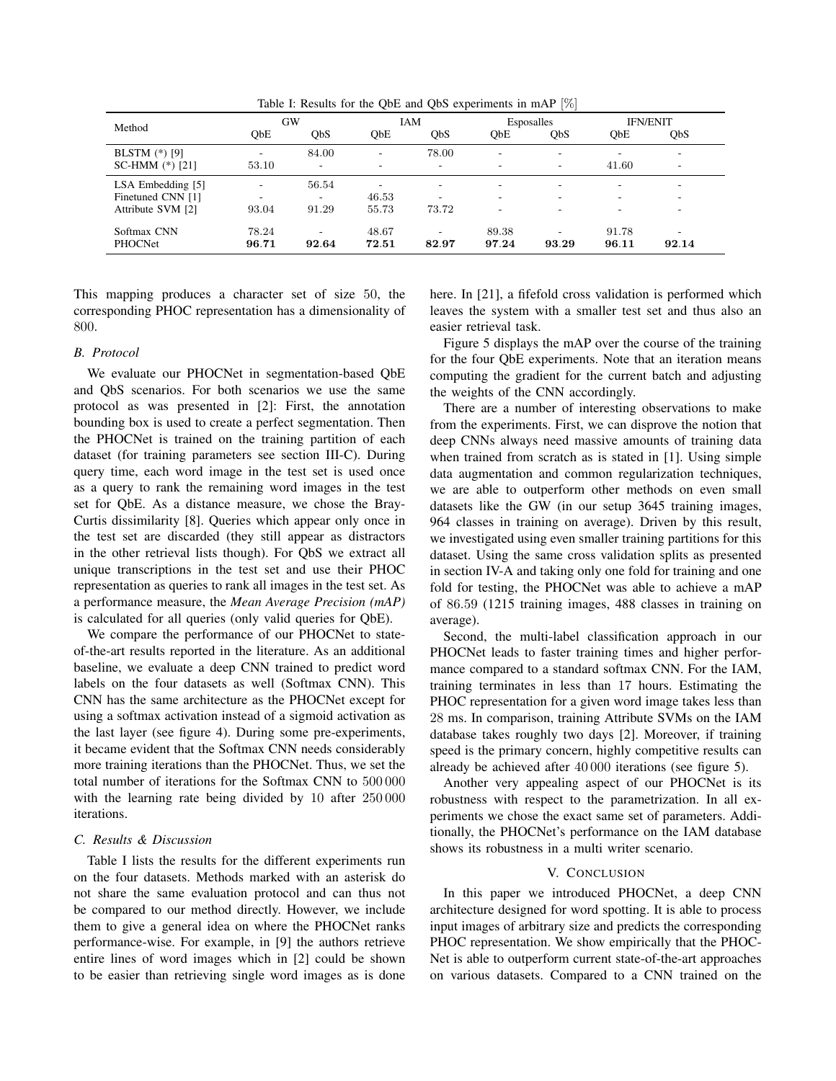|                        |                          |                          |                          |                                   |                          | . .                      |                               |                                   |  |
|------------------------|--------------------------|--------------------------|--------------------------|-----------------------------------|--------------------------|--------------------------|-------------------------------|-----------------------------------|--|
| Method                 | GW<br>QbE<br><b>ObS</b>  |                          | IAM<br>QbE<br>QbS        |                                   | Esposalles<br>QbE<br>QbS |                          | <b>IFN/ENIT</b><br>ObE<br>QbS |                                   |  |
|                        |                          |                          |                          |                                   |                          |                          |                               |                                   |  |
| <b>BLSTM</b> $(*)$ [9] | ٠.                       | 84.00                    | $\overline{\phantom{a}}$ | 78.00                             | $\overline{\phantom{a}}$ | $\overline{\phantom{a}}$ |                               | ٠.                                |  |
| SC-HMM $(*)$ [21]      | 53.10                    | $\overline{\phantom{a}}$ | $\overline{\phantom{a}}$ | ۰.                                | ۰                        | ۰                        | 41.60                         | ۰                                 |  |
| LSA Embedding [5]      | $\overline{\phantom{a}}$ | 56.54                    | $\overline{\phantom{a}}$ | $\overline{\phantom{a}}$          | ۰                        | $\overline{\phantom{a}}$ | ۰                             | ۰                                 |  |
| Finetuned CNN [1]      | ۰                        | -                        | 46.53                    | ۰                                 | $\overline{\phantom{a}}$ | ۰                        |                               | $\overline{\phantom{a}}$          |  |
| Attribute SVM [2]      | 93.04                    | 91.29                    | 55.73                    | 73.72                             | ۰                        |                          |                               | ۰                                 |  |
| Softmax CNN<br>PHOCNet | 78.24<br>96.71           | ۰<br>92.64               | 48.67<br>72.51           | $\overline{\phantom{a}}$<br>82.97 | 89.38<br>97.24           | 93.29                    | 91.78<br>96.11                | $\overline{\phantom{a}}$<br>92.14 |  |

Table I: Results for the QbE and QbS experiments in mAP [%]

This mapping produces a character set of size 50, the corresponding PHOC representation has a dimensionality of 800.

## *B. Protocol*

l,

We evaluate our PHOCNet in segmentation-based QbE and QbS scenarios. For both scenarios we use the same protocol as was presented in [2]: First, the annotation bounding box is used to create a perfect segmentation. Then the PHOCNet is trained on the training partition of each dataset (for training parameters see section III-C). During query time, each word image in the test set is used once as a query to rank the remaining word images in the test set for QbE. As a distance measure, we chose the Bray-Curtis dissimilarity [8]. Queries which appear only once in the test set are discarded (they still appear as distractors in the other retrieval lists though). For QbS we extract all unique transcriptions in the test set and use their PHOC representation as queries to rank all images in the test set. As a performance measure, the *Mean Average Precision (mAP)* is calculated for all queries (only valid queries for QbE).

We compare the performance of our PHOCNet to stateof-the-art results reported in the literature. As an additional baseline, we evaluate a deep CNN trained to predict word labels on the four datasets as well (Softmax CNN). This CNN has the same architecture as the PHOCNet except for using a softmax activation instead of a sigmoid activation as the last layer (see figure 4). During some pre-experiments, it became evident that the Softmax CNN needs considerably more training iterations than the PHOCNet. Thus, we set the total number of iterations for the Softmax CNN to 500 000 with the learning rate being divided by 10 after 250 000 iterations.

## *C. Results & Discussion*

Table I lists the results for the different experiments run on the four datasets. Methods marked with an asterisk do not share the same evaluation protocol and can thus not be compared to our method directly. However, we include them to give a general idea on where the PHOCNet ranks performance-wise. For example, in [9] the authors retrieve entire lines of word images which in [2] could be shown to be easier than retrieving single word images as is done here. In [21], a fifefold cross validation is performed which leaves the system with a smaller test set and thus also an easier retrieval task.

Figure 5 displays the mAP over the course of the training for the four QbE experiments. Note that an iteration means computing the gradient for the current batch and adjusting the weights of the CNN accordingly.

There are a number of interesting observations to make from the experiments. First, we can disprove the notion that deep CNNs always need massive amounts of training data when trained from scratch as is stated in [1]. Using simple data augmentation and common regularization techniques, we are able to outperform other methods on even small datasets like the GW (in our setup 3645 training images, 964 classes in training on average). Driven by this result, we investigated using even smaller training partitions for this dataset. Using the same cross validation splits as presented in section IV-A and taking only one fold for training and one fold for testing, the PHOCNet was able to achieve a mAP of 86.59 (1215 training images, 488 classes in training on average).

Second, the multi-label classification approach in our PHOCNet leads to faster training times and higher performance compared to a standard softmax CNN. For the IAM, training terminates in less than 17 hours. Estimating the PHOC representation for a given word image takes less than 28 ms. In comparison, training Attribute SVMs on the IAM database takes roughly two days [2]. Moreover, if training speed is the primary concern, highly competitive results can already be achieved after 40 000 iterations (see figure 5).

Another very appealing aspect of our PHOCNet is its robustness with respect to the parametrization. In all experiments we chose the exact same set of parameters. Additionally, the PHOCNet's performance on the IAM database shows its robustness in a multi writer scenario.

## V. CONCLUSION

In this paper we introduced PHOCNet, a deep CNN architecture designed for word spotting. It is able to process input images of arbitrary size and predicts the corresponding PHOC representation. We show empirically that the PHOC-Net is able to outperform current state-of-the-art approaches on various datasets. Compared to a CNN trained on the